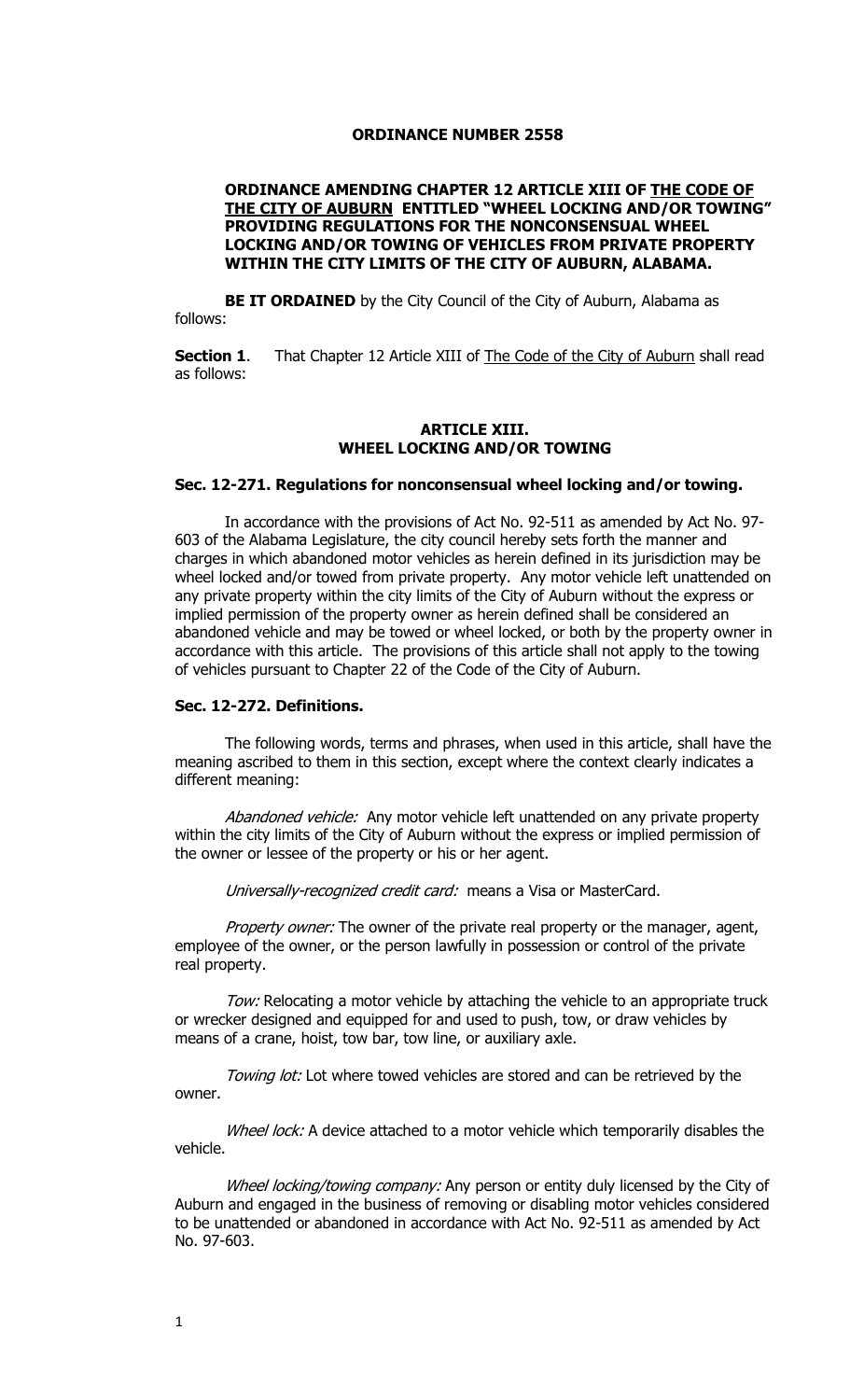#### **ORDINANCE NUMBER 2558**

## **ORDINANCE AMENDING CHAPTER 12 ARTICLE XIII OF THE CODE OF THE CITY OF AUBURN ENTITLED "WHEEL LOCKING AND/OR TOWING" PROVIDING REGULATIONS FOR THE NONCONSENSUAL WHEEL LOCKING AND/OR TOWING OF VEHICLES FROM PRIVATE PROPERTY WITHIN THE CITY LIMITS OF THE CITY OF AUBURN, ALABAMA.**

**BE IT ORDAINED** by the City Council of the City of Auburn, Alabama as follows:

**Section 1.** That Chapter 12 Article XIII of The Code of the City of Auburn shall read as follows:

#### **ARTICLE XIII. WHEEL LOCKING AND/OR TOWING**

#### **Sec. 12-271. Regulations for nonconsensual wheel locking and/or towing.**

In accordance with the provisions of Act No. 92-511 as amended by Act No. 97- 603 of the Alabama Legislature, the city council hereby sets forth the manner and charges in which abandoned motor vehicles as herein defined in its jurisdiction may be wheel locked and/or towed from private property. Any motor vehicle left unattended on any private property within the city limits of the City of Auburn without the express or implied permission of the property owner as herein defined shall be considered an abandoned vehicle and may be towed or wheel locked, or both by the property owner in accordance with this article. The provisions of this article shall not apply to the towing of vehicles pursuant to Chapter 22 of the Code of the City of Auburn.

#### **Sec. 12-272. Definitions.**

The following words, terms and phrases, when used in this article, shall have the meaning ascribed to them in this section, except where the context clearly indicates a different meaning:

Abandoned vehicle: Any motor vehicle left unattended on any private property within the city limits of the City of Auburn without the express or implied permission of the owner or lessee of the property or his or her agent.

Universally-recognized credit card: means a Visa or MasterCard.

Property owner: The owner of the private real property or the manager, agent, employee of the owner, or the person lawfully in possession or control of the private real property.

Tow: Relocating a motor vehicle by attaching the vehicle to an appropriate truck or wrecker designed and equipped for and used to push, tow, or draw vehicles by means of a crane, hoist, tow bar, tow line, or auxiliary axle.

Towing lot: Lot where towed vehicles are stored and can be retrieved by the owner.

Wheel lock: A device attached to a motor vehicle which temporarily disables the vehicle.

Wheel locking/towing company: Any person or entity duly licensed by the City of Auburn and engaged in the business of removing or disabling motor vehicles considered to be unattended or abandoned in accordance with Act No. 92-511 as amended by Act No. 97-603.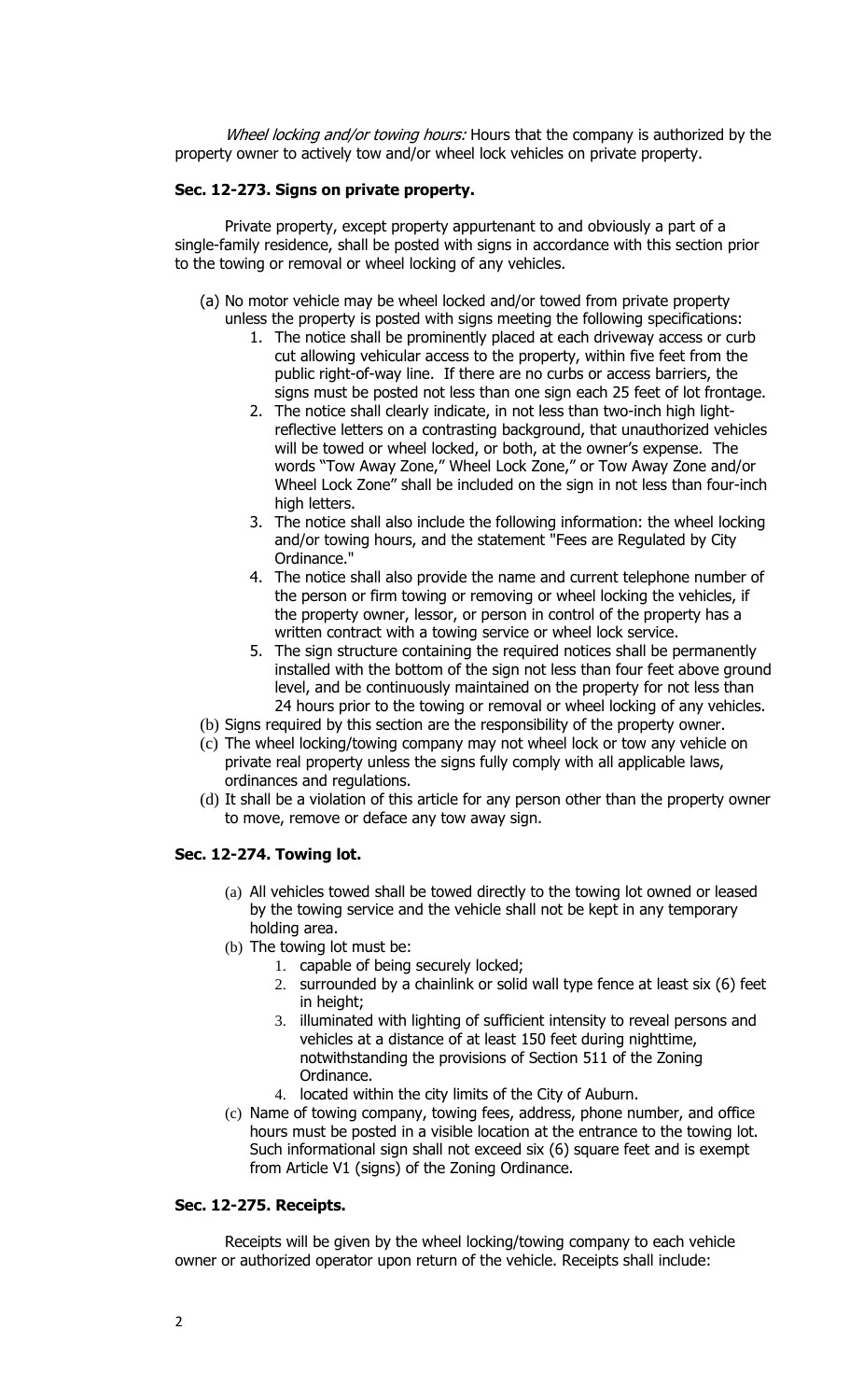Wheel locking and/or towing hours: Hours that the company is authorized by the property owner to actively tow and/or wheel lock vehicles on private property.

# **Sec. 12-273. Signs on private property.**

Private property, except property appurtenant to and obviously a part of a single-family residence, shall be posted with signs in accordance with this section prior to the towing or removal or wheel locking of any vehicles.

- (a) No motor vehicle may be wheel locked and/or towed from private property
	- unless the property is posted with signs meeting the following specifications:
		- 1. The notice shall be prominently placed at each driveway access or curb cut allowing vehicular access to the property, within five feet from the public right-of-way line. If there are no curbs or access barriers, the signs must be posted not less than one sign each 25 feet of lot frontage.
		- 2. The notice shall clearly indicate, in not less than two-inch high lightreflective letters on a contrasting background, that unauthorized vehicles will be towed or wheel locked, or both, at the owner's expense. The words "Tow Away Zone," Wheel Lock Zone," or Tow Away Zone and/or Wheel Lock Zone" shall be included on the sign in not less than four-inch high letters.
		- 3. The notice shall also include the following information: the wheel locking and/or towing hours, and the statement "Fees are Regulated by City Ordinance."
		- 4. The notice shall also provide the name and current telephone number of the person or firm towing or removing or wheel locking the vehicles, if the property owner, lessor, or person in control of the property has a written contract with a towing service or wheel lock service.
		- 5. The sign structure containing the required notices shall be permanently installed with the bottom of the sign not less than four feet above ground level, and be continuously maintained on the property for not less than 24 hours prior to the towing or removal or wheel locking of any vehicles.
- (b) Signs required by this section are the responsibility of the property owner.
- (c) The wheel locking/towing company may not wheel lock or tow any vehicle on private real property unless the signs fully comply with all applicable laws, ordinances and regulations.
- (d) It shall be a violation of this article for any person other than the property owner to move, remove or deface any tow away sign.

# **Sec. 12-274. Towing lot.**

- (a) All vehicles towed shall be towed directly to the towing lot owned or leased by the towing service and the vehicle shall not be kept in any temporary holding area.
- (b) The towing lot must be:
	- 1. capable of being securely locked;
	- 2. surrounded by a chainlink or solid wall type fence at least six (6) feet in height;
	- 3. illuminated with lighting of sufficient intensity to reveal persons and vehicles at a distance of at least 150 feet during nighttime, notwithstanding the provisions of Section 511 of the Zoning Ordinance.
	- 4. located within the city limits of the City of Auburn.
- (c) Name of towing company, towing fees, address, phone number, and office hours must be posted in a visible location at the entrance to the towing lot. Such informational sign shall not exceed six (6) square feet and is exempt from Article V1 (signs) of the Zoning Ordinance.

### **Sec. 12-275. Receipts.**

Receipts will be given by the wheel locking/towing company to each vehicle owner or authorized operator upon return of the vehicle. Receipts shall include: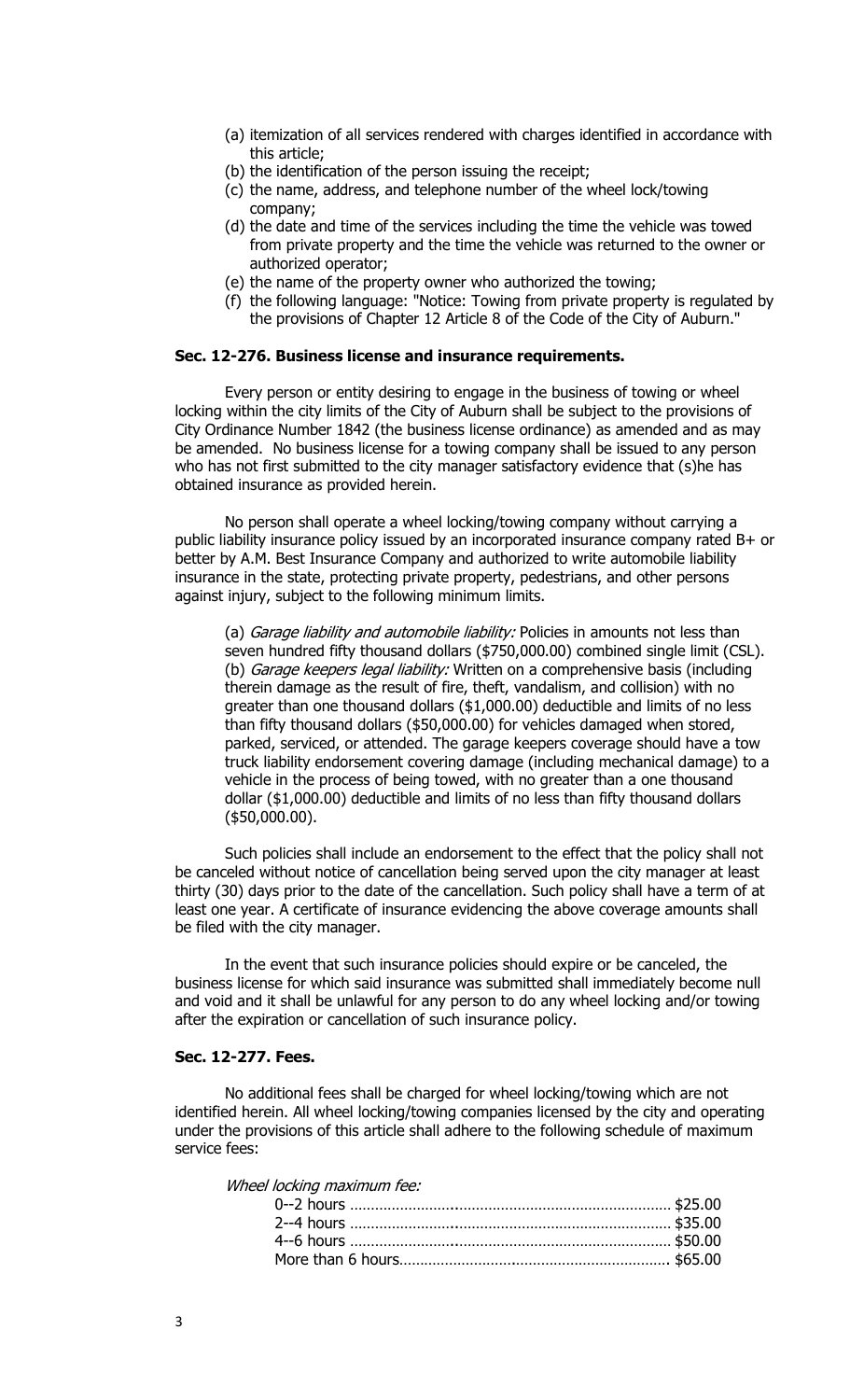- (a) itemization of all services rendered with charges identified in accordance with this article;
- (b) the identification of the person issuing the receipt;
- (c) the name, address, and telephone number of the wheel lock/towing company;
- (d) the date and time of the services including the time the vehicle was towed from private property and the time the vehicle was returned to the owner or authorized operator;
- (e) the name of the property owner who authorized the towing;
- (f) the following language: "Notice: Towing from private property is regulated by the provisions of Chapter 12 Article 8 of the Code of the City of Auburn."

# **Sec. 12-276. Business license and insurance requirements.**

Every person or entity desiring to engage in the business of towing or wheel locking within the city limits of the City of Auburn shall be subject to the provisions of City Ordinance Number 1842 (the business license ordinance) as amended and as may be amended. No business license for a towing company shall be issued to any person who has not first submitted to the city manager satisfactory evidence that (s)he has obtained insurance as provided herein.

No person shall operate a wheel locking/towing company without carrying a public liability insurance policy issued by an incorporated insurance company rated B+ or better by A.M. Best Insurance Company and authorized to write automobile liability insurance in the state, protecting private property, pedestrians, and other persons against injury, subject to the following minimum limits.

(a) Garage liability and automobile liability: Policies in amounts not less than seven hundred fifty thousand dollars (\$750,000.00) combined single limit (CSL). (b) Garage keepers legal liability: Written on a comprehensive basis (including therein damage as the result of fire, theft, vandalism, and collision) with no greater than one thousand dollars (\$1,000.00) deductible and limits of no less than fifty thousand dollars (\$50,000.00) for vehicles damaged when stored, parked, serviced, or attended. The garage keepers coverage should have a tow truck liability endorsement covering damage (including mechanical damage) to a vehicle in the process of being towed, with no greater than a one thousand dollar (\$1,000.00) deductible and limits of no less than fifty thousand dollars (\$50,000.00).

Such policies shall include an endorsement to the effect that the policy shall not be canceled without notice of cancellation being served upon the city manager at least thirty (30) days prior to the date of the cancellation. Such policy shall have a term of at least one year. A certificate of insurance evidencing the above coverage amounts shall be filed with the city manager.

In the event that such insurance policies should expire or be canceled, the business license for which said insurance was submitted shall immediately become null and void and it shall be unlawful for any person to do any wheel locking and/or towing after the expiration or cancellation of such insurance policy.

# **Sec. 12-277. Fees.**

No additional fees shall be charged for wheel locking/towing which are not identified herein. All wheel locking/towing companies licensed by the city and operating under the provisions of this article shall adhere to the following schedule of maximum service fees:

Wheel locking maximum fee: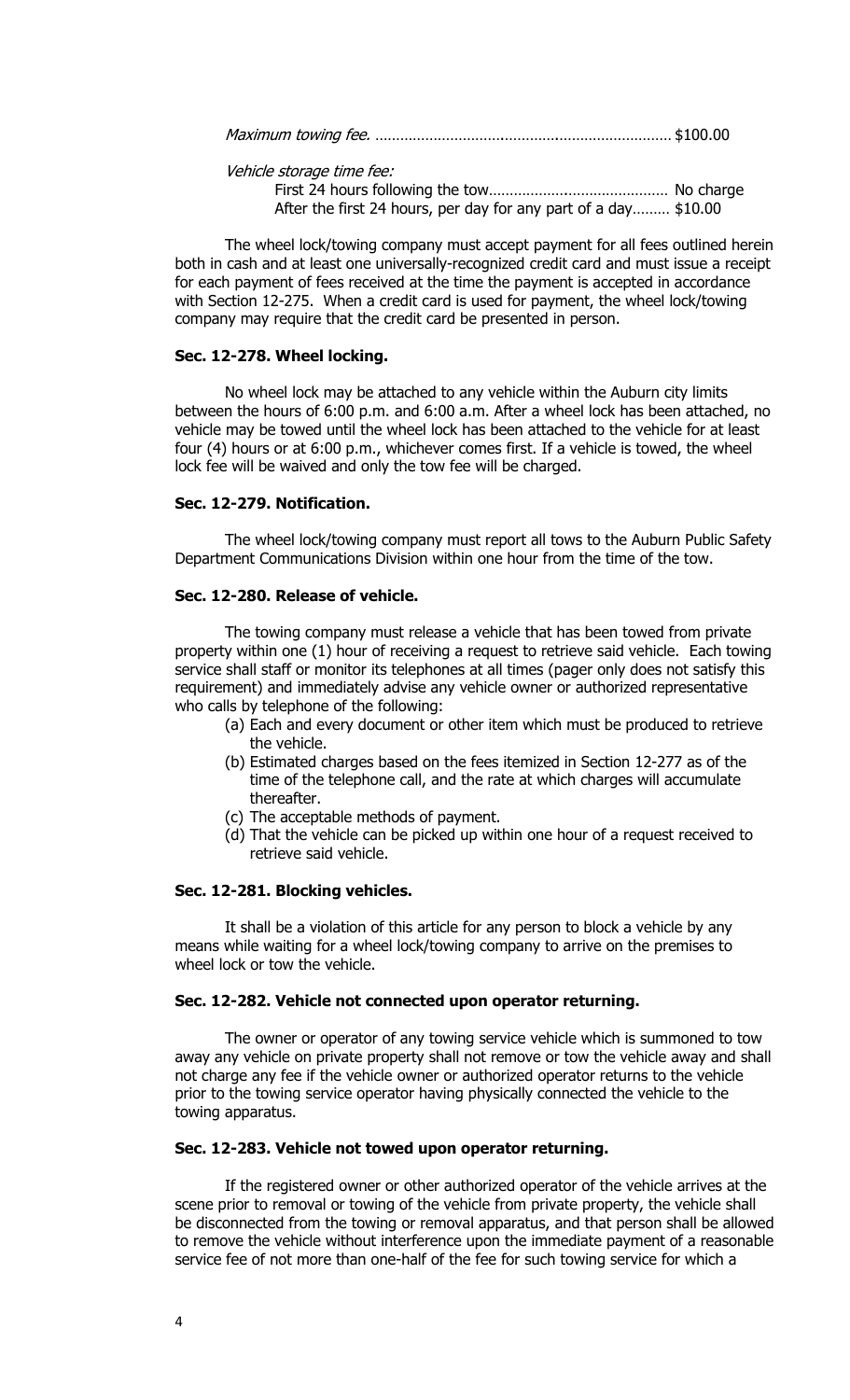|--|--|

Vehicle storage time fee:

First 24 hours following the tow……………….…………………… No charge After the first 24 hours, per day for any part of a day……… \$10.00

The wheel lock/towing company must accept payment for all fees outlined herein both in cash and at least one universally-recognized credit card and must issue a receipt for each payment of fees received at the time the payment is accepted in accordance with Section 12-275. When a credit card is used for payment, the wheel lock/towing company may require that the credit card be presented in person.

## **Sec. 12-278. Wheel locking.**

No wheel lock may be attached to any vehicle within the Auburn city limits between the hours of 6:00 p.m. and 6:00 a.m. After a wheel lock has been attached, no vehicle may be towed until the wheel lock has been attached to the vehicle for at least four (4) hours or at 6:00 p.m., whichever comes first. If a vehicle is towed, the wheel lock fee will be waived and only the tow fee will be charged.

#### **Sec. 12-279. Notification.**

The wheel lock/towing company must report all tows to the Auburn Public Safety Department Communications Division within one hour from the time of the tow.

## **Sec. 12-280. Release of vehicle.**

The towing company must release a vehicle that has been towed from private property within one (1) hour of receiving a request to retrieve said vehicle. Each towing service shall staff or monitor its telephones at all times (pager only does not satisfy this requirement) and immediately advise any vehicle owner or authorized representative who calls by telephone of the following:

- (a) Each and every document or other item which must be produced to retrieve the vehicle.
- (b) Estimated charges based on the fees itemized in Section 12-277 as of the time of the telephone call, and the rate at which charges will accumulate thereafter.
- (c) The acceptable methods of payment.
- (d) That the vehicle can be picked up within one hour of a request received to retrieve said vehicle.

#### **Sec. 12-281. Blocking vehicles.**

It shall be a violation of this article for any person to block a vehicle by any means while waiting for a wheel lock/towing company to arrive on the premises to wheel lock or tow the vehicle.

## **Sec. 12-282. Vehicle not connected upon operator returning.**

The owner or operator of any towing service vehicle which is summoned to tow away any vehicle on private property shall not remove or tow the vehicle away and shall not charge any fee if the vehicle owner or authorized operator returns to the vehicle prior to the towing service operator having physically connected the vehicle to the towing apparatus.

#### **Sec. 12-283. Vehicle not towed upon operator returning.**

If the registered owner or other authorized operator of the vehicle arrives at the scene prior to removal or towing of the vehicle from private property, the vehicle shall be disconnected from the towing or removal apparatus, and that person shall be allowed to remove the vehicle without interference upon the immediate payment of a reasonable service fee of not more than one-half of the fee for such towing service for which a